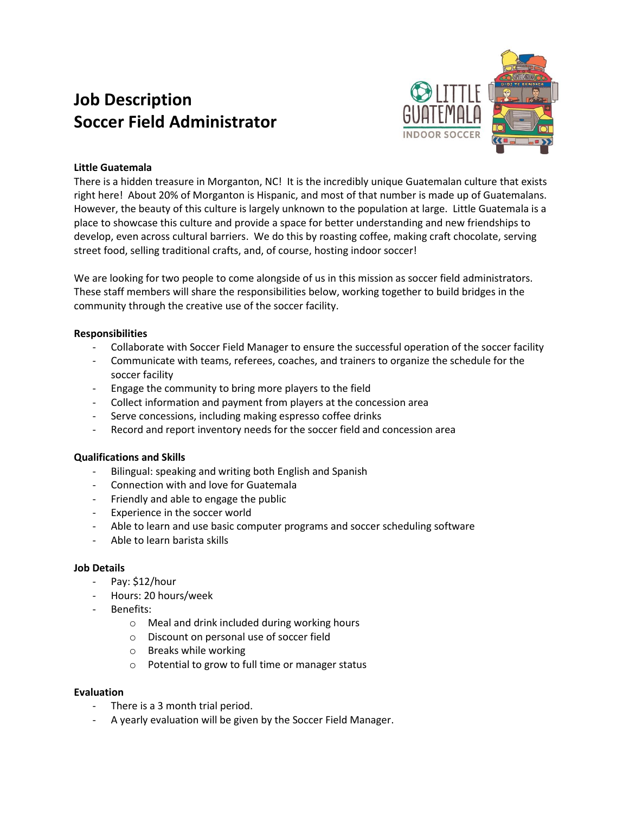# **Job Description Soccer Field Administrator**



### **Little Guatemala**

There is a hidden treasure in Morganton, NC! It is the incredibly unique Guatemalan culture that exists right here! About 20% of Morganton is Hispanic, and most of that number is made up of Guatemalans. However, the beauty of this culture is largely unknown to the population at large. Little Guatemala is a place to showcase this culture and provide a space for better understanding and new friendships to develop, even across cultural barriers. We do this by roasting coffee, making craft chocolate, serving street food, selling traditional crafts, and, of course, hosting indoor soccer!

We are looking for two people to come alongside of us in this mission as soccer field administrators. These staff members will share the responsibilities below, working together to build bridges in the community through the creative use of the soccer facility.

### **Responsibilities**

- Collaborate with Soccer Field Manager to ensure the successful operation of the soccer facility
- Communicate with teams, referees, coaches, and trainers to organize the schedule for the soccer facility
- Engage the community to bring more players to the field
- Collect information and payment from players at the concession area
- Serve concessions, including making espresso coffee drinks
- Record and report inventory needs for the soccer field and concession area

### **Qualifications and Skills**

- Bilingual: speaking and writing both English and Spanish
- Connection with and love for Guatemala
- Friendly and able to engage the public
- Experience in the soccer world
- Able to learn and use basic computer programs and soccer scheduling software
- Able to learn barista skills

#### **Job Details**

- Pay: \$12/hour
- Hours: 20 hours/week
- Benefits:
	- o Meal and drink included during working hours
	- o Discount on personal use of soccer field
	- o Breaks while working
	- o Potential to grow to full time or manager status

#### **Evaluation**

- There is a 3 month trial period.
- A yearly evaluation will be given by the Soccer Field Manager.